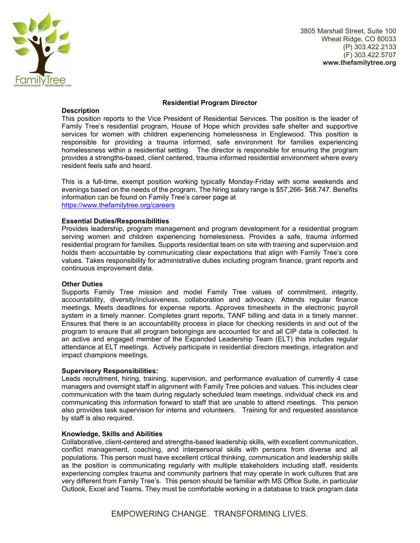

3805 Marshall Street, Suite 100 Wheat Ridge, CO 80033 (P) 303.422.2133 (F) 303.422.5707 **www.thefamilytree.org** 

## **Residential Program Director**

# **Description**

This position reports to the Vice President of Residential Services. The position is the leader of Family Tree's residential program, House of Hope which provides safe shelter and supportive services for women with children experiencing homelessness in Englewood. This position is responsible for providing a trauma informed, safe environment for families experiencing homelessness within a residential setting. The director is responsible for ensuring the program provides a strengths-based, client centered, trauma informed residential environment where every resident feels safe and heard.

This is a full-time, exempt position working typically Monday-Friday with some weekends and evenings based on the needs of the program. The hiring salary range is \$57,266- \$68.747. Benefits information can be found on Family Tree's career page at https://www.thefamilytree.org/careers

## **Essential Duties/Responsibilities**

Provides leadership, program management and program development for a residential program serving women and children experiencing homelessness. Provides a safe, trauma informed residential program for families. Supports residential team on site with training and supervision and holds them accountable by communicating clear expectations that align with Family Tree's core values. Takes responsibility for administrative duties including program finance, grant reports and continuous improvement data.

## **Other Duties**

Supports Family Tree mission and model Family Tree values of commitment, integrity, accountability, diversity/inclusiveness, collaboration and advocacy. Attends regular finance meetings. Meets deadlines for expense reports. Approves timesheets in the electronic payroll system in a timely manner. Completes grant reports, TANF billing and data in a timely manner. Ensures that there is an accountability process in place for checking residents in and out of the program to ensure that all program belongings are accounted for and all CIP data is collected. Is an active and engaged member of the Expanded Leadership Team (ELT) this includes regular attendance at ELT meetings. Actively participate in residential directors meetings, integration and impact champions meetings.

## **Supervisory Responsibilities:**

Leads recruitment, hiring, training, supervision, and performance evaluation of currently 4 case managers and overnight staff in alignment with Family Tree policies and values. This includes clear communication with the team during regularly scheduled team meetings, individual check ins and communicating this information forward to staff that are unable to attend meetings. This person also provides task supervision for interns and volunteers. Training for and requested assistance by staff is also required.

## **Knowledge, Skills and Abilities**

Collaborative, client-centered and strengths-based leadership skills, with excellent communication, conflict management, coaching, and interpersonal skills with persons from diverse and all populations. This person must have excellent critical thinking, communication and leadership skills as the position is communicating regularly with multiple stakeholders including staff, residents experiencing complex trauma and community partners that may operate in work cultures that are very different from Family Tree's. This person should be familiar with MS Office Suite, in particular Outlook, Excel and Teams. They must be comfortable working in a database to track program data